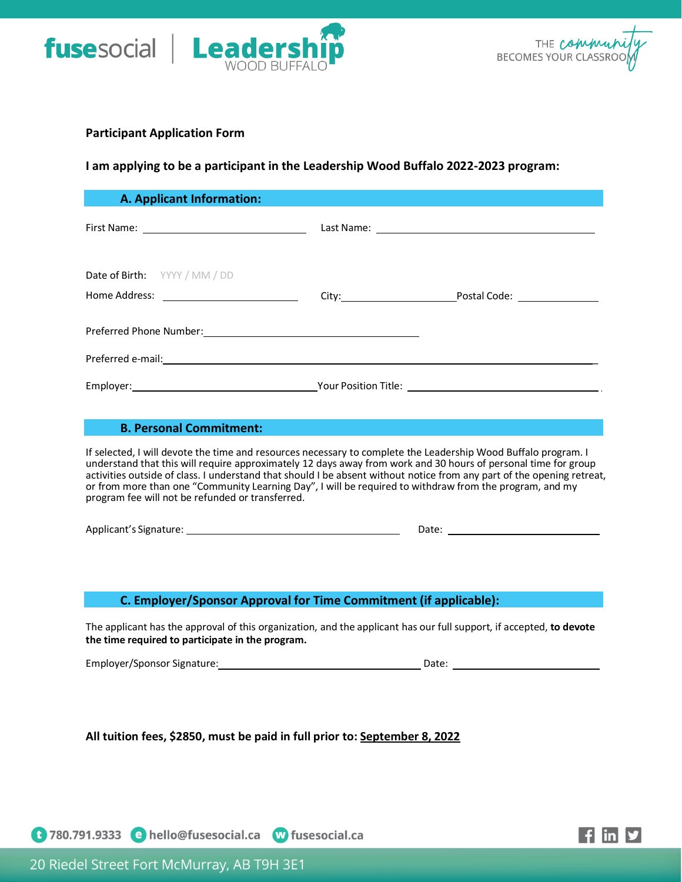



## **Participant Application Form**

# **I am applying to be a participant in the Leadership Wood Buffalo 2022-2023 program:**

| <b>A. Applicant Information:</b>                                                                                                                                                                                                                                                                                                                                                                                                                                                                                          |  |
|---------------------------------------------------------------------------------------------------------------------------------------------------------------------------------------------------------------------------------------------------------------------------------------------------------------------------------------------------------------------------------------------------------------------------------------------------------------------------------------------------------------------------|--|
|                                                                                                                                                                                                                                                                                                                                                                                                                                                                                                                           |  |
| Date of Birth: YYYY / MM / DD                                                                                                                                                                                                                                                                                                                                                                                                                                                                                             |  |
|                                                                                                                                                                                                                                                                                                                                                                                                                                                                                                                           |  |
|                                                                                                                                                                                                                                                                                                                                                                                                                                                                                                                           |  |
| Preferred e-mail: Note and the set of the set of the set of the set of the set of the set of the set of the set of the set of the set of the set of the set of the set of the set of the set of the set of the set of the set                                                                                                                                                                                                                                                                                             |  |
|                                                                                                                                                                                                                                                                                                                                                                                                                                                                                                                           |  |
|                                                                                                                                                                                                                                                                                                                                                                                                                                                                                                                           |  |
| <b>B. Personal Commitment:</b>                                                                                                                                                                                                                                                                                                                                                                                                                                                                                            |  |
| If selected, I will devote the time and resources necessary to complete the Leadership Wood Buffalo program. I<br>understand that this will require approximately 12 days away from work and 30 hours of personal time for group<br>activities outside of class. I understand that should I be absent without notice from any part of the opening retreat,<br>or from more than one "Community Learning Day", I will be required to withdraw from the program, and my<br>program fee will not be refunded or transferred. |  |

Applicant's Signature: National Applicant's Signature: National Applicant's Signature: National Applicant Control Applicant Control Applicant Control Applicant Control Applicant Control Applicant Control Applicant Control

# **C. Employer/Sponsor Approval for Time Commitment (if applicable):**

The applicant has the approval of this organization, and the applicant has our full support, if accepted, **to devote the time required to participate in the program.**

Employer/Sponsor Signature: Date:

**All tuition fees, \$2850, must be paid in full prior to: September 8, 2022**

<sup>1</sup> 780.791.9333 • hello@fusesocial.ca <sup>10</sup> fusesocial.ca



20 Riedel Street Fort McMurray, AB T9H 3E1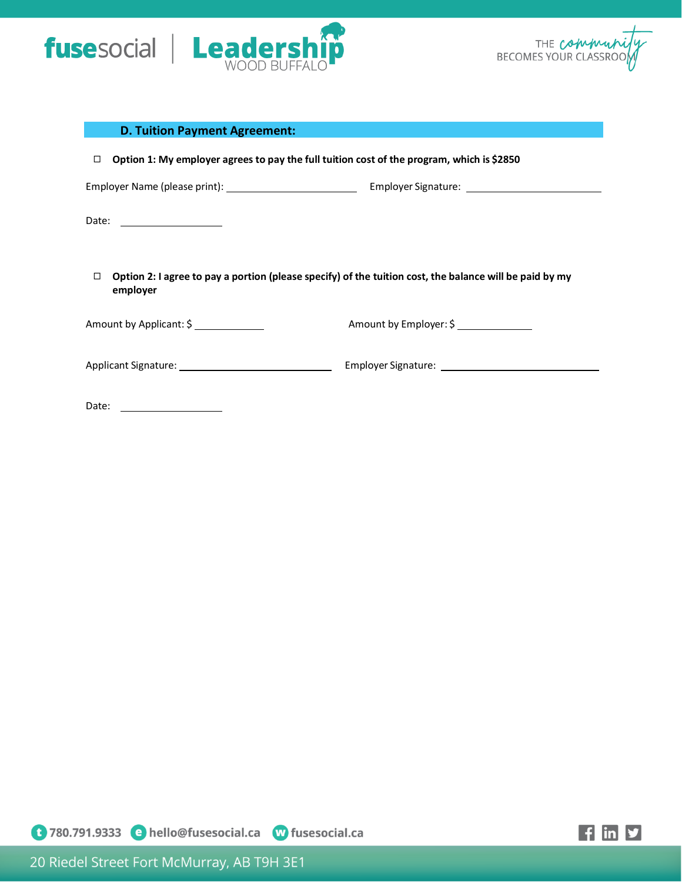



| <b>D. Tuition Payment Agreement:</b>                                                                |                                                                                                         |  |
|-----------------------------------------------------------------------------------------------------|---------------------------------------------------------------------------------------------------------|--|
| Option 1: My employer agrees to pay the full tuition cost of the program, which is \$2850<br>$\Box$ |                                                                                                         |  |
|                                                                                                     |                                                                                                         |  |
|                                                                                                     |                                                                                                         |  |
| $\Box$<br>employer                                                                                  | Option 2: I agree to pay a portion (please specify) of the tuition cost, the balance will be paid by my |  |
| Amount by Applicant: \$                                                                             | Amount by Employer: \$                                                                                  |  |
|                                                                                                     |                                                                                                         |  |
| Date: _____________________                                                                         |                                                                                                         |  |

**1780.791.9333 • hello@fusesocial.ca de fusesocial.ca** 

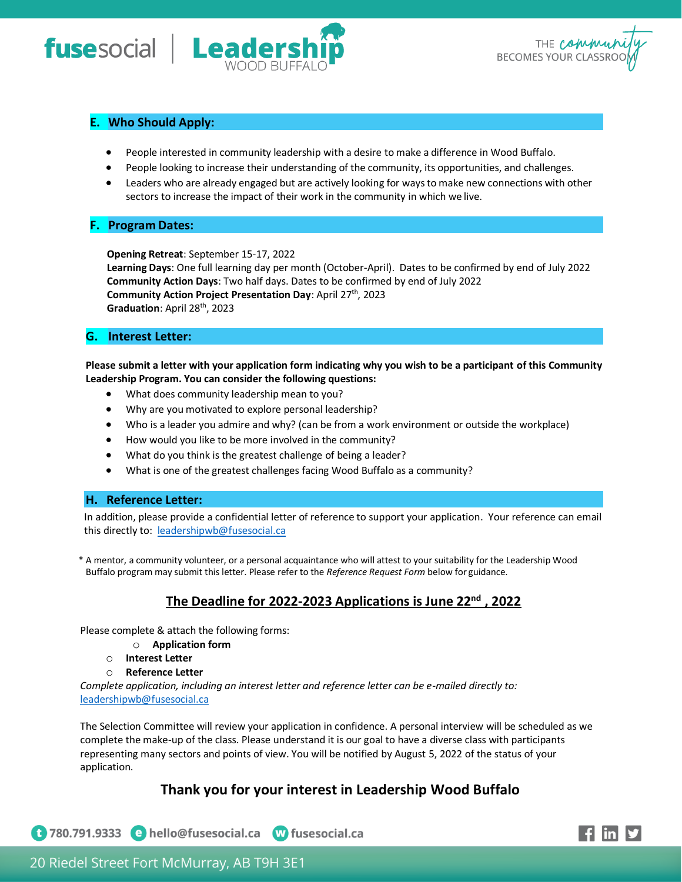



# **E. Who Should Apply:**

- People interested in community leadership with a desire to make a difference in Wood Buffalo.
- People looking to increase their understanding of the community, its opportunities, and challenges.
- Leaders who are already engaged but are actively looking for waysto make new connections with other sectors to increase the impact of their work in the community in which we live.

## **F. Program Dates:**

**Opening Retreat**: September 15-17, 2022

**Learning Days**: One full learning day per month (October-April). Dates to be confirmed by end of July 2022 **Community Action Days**: Two half days. Dates to be confirmed by end of July 2022 **Community Action Project Presentation Day: April 27th, 2023** Graduation: April 28<sup>th</sup>, 2023

## **G. Interest Letter:**

**Please submit a letter with your application form indicating why you wish to be a participant of this Community Leadership Program. You can consider the following questions:**

- What does community leadership mean to you?
- Why are you motivated to explore personal leadership?
- Who is a leader you admire and why? (can be from a work environment or outside the workplace)
- How would you like to be more involved in the community?
- What do you think is the greatest challenge of being a leader?
- What is one of the greatest challenges facing Wood Buffalo as a community?

#### **H. Reference Letter:**

In addition, please provide a confidential letter of reference to support your application. Your reference can email this directly to: [leadershipwb@fusesocial.ca](mailto:leadershipwb@fusesocial.ca)

\* A mentor, a community volunteer, or a personal acquaintance who will attest to your suitability for the Leadership Wood Buffalo program may submit this letter. Please refer to the *Reference Request Form* below for guidance.

# **The Deadline for 2022-2023 Applications is June 22nd , 2022**

Please complete & attach the following forms:

- o **Application form**
- o **Interest Letter**
- o **Reference Letter**

*Complete application, including an interest letter and reference letter can be e-mailed directly to:* [leadershipwb@fusesocial.ca](mailto:leadershipwb@fusesocial.ca)

The Selection Committee will review your application in confidence. A personal interview will be scheduled as we complete the make-up of the class. Please understand it is our goal to have a diverse class with participants representing many sectors and points of view. You will be notified by August 5, 2022 of the status of your application.

# **Thank you for your interest in Leadership Wood Buffalo**

1 780.791.9333 • hello@fusesocial.ca W fusesocial.ca